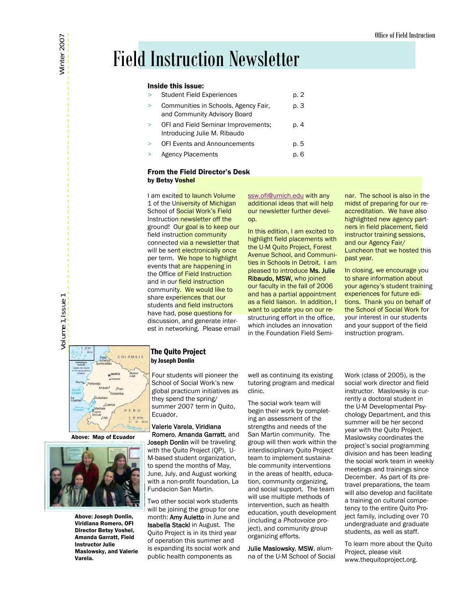### Field Instruction Newsletter

#### Inside this issue:

| $\geq$   | <b>Student Field Experiences</b>                                     | p. 2 |
|----------|----------------------------------------------------------------------|------|
| $\geq$   | Communities in Schools, Agency Fair,<br>and Community Advisory Board | p. 3 |
| $\geq$   | OFI and Field Seminar Improvements:<br>Introducing Julie M. Ribaudo  | p. 4 |
| $\rm{~}$ | <b>OFI Events and Announcements</b>                                  | p. 5 |
| $\geq$   | <b>Agency Placements</b>                                             | n. 6 |

#### From the Field Director's Desk by Betsy Voshel

I am excited to launch Volume 1 of the University of Michigan School of Social Work's Field Instruction newsletter off the ground! Our goal is to keep our field instruction community connected via a newsletter that will be sent electronically once per term. We hope to highlight events that are happening in the Office of Field Instruction and in our field instruction community. We would like to share experiences that our students and field instructors have had, pose questions for discussion, and generate interest in networking. Please email [ssw.ofi@umich.edu](mailto:ssw.ofi@umich.edu) with any additional ideas that will help our newsletter further develop.

In this edition, I am excited to highlight field placements with the U-M Quito Project, Forest Avenue School, and Communities in Schools in Detroit. I am pleased to introduce Ms. Julie Ribaudo, MSW, who joined our faculty in the fall of 2006 and has a partial appointment as a field liaison. In addition, I want to update you on our restructuring effort in the office, which includes an innovation in the Foundation Field Semi-

nar. The school is also in the midst of preparing for our reaccreditation. We have also highlighted new agency partners in field placement, field instructor training sessions, and our Agency Fair/ Luncheon that we hosted this past year.

In closing, we encourage you to share information about your agency's student training experiences for future editions. Thank you on behalf of the School of Social Work for your interest in our students and your support of the field instruction program.



#### Above: Map of Ecuador



Above: Joseph Donlin, Viridiana Romero, OFI Director Betsy Voshel, Amanda Garratt, Field Instructor Julie Maslowsky, and Valerie Varela.

#### The Quito Project by Joseph Donlin

Four students will pioneer the School of Social Work's new global practicum initiatives as they spend the spring/ summer 2007 term in Quito, Ecuador.

Valerie Varela, Viridiana Romero, Amanda Garratt, and Joseph Donlin will be traveling with the Quito Project (QP), U-M-based student organization, to spend the months of May, June, July, and August working with a non-profit foundation, La Fundacion San Martin.

Two other social work students will be joining the group for one month: Amy Auletto in June and Isabella Stackl in August. The Quito Project is in its third year of operation this summer and is expanding its social work and public health components as

well as continuing its existing tutoring program and medical clinic.

The social work team will begin their work by completing an assessment of the strengths and needs of the San Martin community. The group will then work within the interdisciplinary Quito Project team to implement sustainable community interventions in the areas of health, education, community organizing, and social support. The team will use multiple methods of intervention, such as health education, youth development (including a *Photovoice* project), and community group organizing efforts.

Julie Maslowsky, MSW, alumna of the U-M School of Social Work (class of 2005), is the social work director and field instructor. Maslowsky is currently a doctoral student in the U-M Developmental Psychology Department, and this summer will be her second year with the Quito Project. Maslowsky coordinates the project's social programming division and has been leading the social work team in weekly meetings and trainings since December. As part of its pretravel preparations, the team will also develop and facilitate a training on cultural competency to the entire Quito Project family, including over 70 undergraduate and graduate students, as well as staff.

To learn more about the Quito Project, please visit www.thequitoproject.org.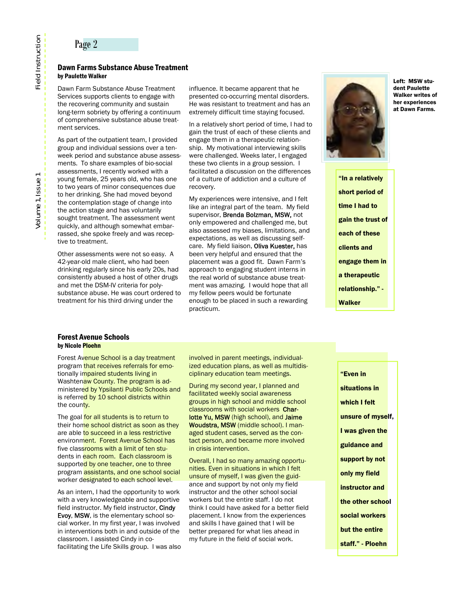#### Page 2

#### Dawn Farms Substance Abuse Treatment by Paulette Walker

Dawn Farm Substance Abuse Treatment Services supports clients to engage with the recovering community and sustain long-term sobriety by offering a continuum of comprehensive substance abuse treatment services.

As part of the outpatient team, I provided group and individual sessions over a tenweek period and substance abuse assessments. To share examples of bio-social assessments, I recently worked with a young female, 25 years old, who has one to two years of minor consequences due to her drinking. She had moved beyond the contemplation stage of change into the action stage and has voluntarily sought treatment. The assessment went quickly, and although somewhat embarrassed, she spoke freely and was receptive to treatment.

Other assessments were not so easy. A 42-year-old male client, who had been drinking regularly since his early 20s, had consistently abused a host of other drugs and met the DSM-IV criteria for polysubstance abuse. He was court ordered to treatment for his third driving under the

influence. It became apparent that he presented co-occurring mental disorders. He was resistant to treatment and has an extremely difficult time staying focused.

In a relatively short period of time, I had to gain the trust of each of these clients and engage them in a therapeutic relationship. My motivational interviewing skills were challenged. Weeks later, I engaged these two clients in a group session. I facilitated a discussion on the differences of a culture of addiction and a culture of recovery.

My experiences were intensive, and I felt like an integral part of the team. My field supervisor, Brenda Bolzman, MSW, not only empowered and challenged me, but also assessed my biases, limitations, and expectations, as well as discussing selfcare. My field liaison, Oliva Kuester, has been very helpful and ensured that the placement was a good fit. Dawn Farm's approach to engaging student interns in the real world of substance abuse treatment was amazing. I would hope that all my fellow peers would be fortunate enough to be placed in such a rewarding practicum.



Left: MSW student Paulette Walker writes of her experiences at Dawn Farms.

"In a relatively short period of time I had to gain the trust of each of these clients and engage them in a therapeutic relationship." - **Walker** 

#### Forest Avenue Schools by Nicole Ploehn

Forest Avenue School is a day treatment program that receives referrals for emotionally impaired students living in Washtenaw County. The program is administered by Ypsilanti Public Schools and is referred by 10 school districts within the county.

The goal for all students is to return to their home school district as soon as they are able to succeed in a less restrictive environment. Forest Avenue School has five classrooms with a limit of ten students in each room. Each classroom is supported by one teacher, one to three program assistants, and one school social worker designated to each school level.

As an intern, I had the opportunity to work with a very knowledgeable and supportive field instructor. My field instructor, Cindy Evoy, MSW, is the elementary school social worker. In my first year, I was involved in interventions both in and outside of the classroom. I assisted Cindy in cofacilitating the Life Skills group. I was also involved in parent meetings, individualized education plans, as well as multidisciplinary education team meetings.

During my second year, I planned and facilitated weekly social awareness groups in high school and middle school classrooms with social workers Charlotte Yu, MSW (high school), and Jaime Woudstra, MSW (middle school). I managed student cases, served as the contact person, and became more involved in crisis intervention.

Overall, I had so many amazing opportunities. Even in situations in which I felt unsure of myself, I was given the guidance and support by not only my field instructor and the other school social workers but the entire staff. I do not think I could have asked for a better field placement. I know from the experiences and skills I have gained that I will be better prepared for what lies ahead in my future in the field of social work.

"Even in situations in which I felt unsure of myself, I was given the guidance and support by not only my field instructor and the other school social workers but the entire staff." - Ploehn

# Field Instruction Volume 1, Issue 1 **Field Instruction**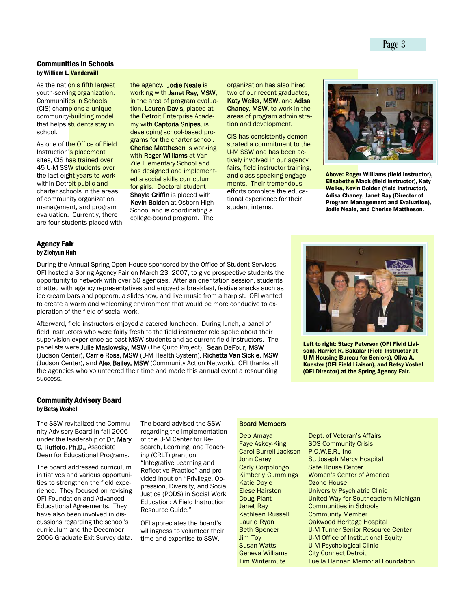#### Communities in Schools by William L. Vanderwill

As the nation's fifth largest youth-serving organization, Communities in Schools (CIS) champions a unique community-building model that helps students stay in school.

As one of the Office of Field Instruction's placement sites, CIS has trained over 45 U-M SSW students over the last eight years to work within Detroit public and charter schools in the areas of community organization, management, and program evaluation. Currently, there are four students placed with the agency. Jodie Neale is working with Janet Ray, MSW, in the area of program evaluation. Lauren Davis, placed at the Detroit Enterprise Academy with Captoria Snipes, is developing school-based programs for the charter school. **Cherise Mattheson is working** with Roger Williams at Van Zile Elementary School and has designed and implemented a social skills curriculum for girls. Doctoral student Shayla Griffin is placed with **Kevin Bolden at Osborn High** School and is coordinating a college-bound program. The

organization has also hired two of our recent graduates, Katy Weiks, MSW, and Adisa Chaney, MSW, to work in the areas of program administration and development.

CIS has consistently demonstrated a commitment to the U-M SSW and has been actively involved in our agency fairs, field instructor training, and class speaking engagements. Their tremendous efforts complete the educational experience for their student interns.



Above: Roger Williams (field instructor), Elisabethe Mack (field instructor), Katy Weiks, Kevin Bolden (field instructor), Adisa Chaney, Janet Ray (Director of Program Management and Evaluation), Jodie Neale, and Cherise Mattheson.

#### Agency Fair by Ziehyun Huh

During the Annual Spring Open House sponsored by the Office of Student Services, OFI hosted a Spring Agency Fair on March 23, 2007, to give prospective students the opportunity to network with over 50 agencies. After an orientation session, students chatted with agency representatives and enjoyed a breakfast, festive snacks such as ice cream bars and popcorn, a slideshow, and live music from a harpist. OFI wanted to create a warm and welcoming environment that would be more conducive to exploration of the field of social work.

Afterward, field instructors enjoyed a catered luncheon. During lunch, a panel of field instructors who were fairly fresh to the field instructor role spoke about their supervision experience as past MSW students and as current field instructors. The panelists were Julie Maslowsky, MSW (The Quito Project), Sean DeFour, MSW (Judson Center), Carrie Ross, MSW (U-M Health System), Richetta Van Sickle, MSW (Judson Center), and Alex Bailey, MSW (Community Action Network). OFI thanks all the agencies who volunteered their time and made this annual event a resounding success.



Left to right: Stacy Peterson (OFI Field Liaison), Harriet R. Bakalar (Field Instructor at U-M Housing Bureau for Seniors), Oliva A. Kuester (OFI Field Liaison), and Betsy Voshel (OFI Director) at the Spring Agency Fair.

#### Community Advisory Board by Betsy Voshel

The SSW revitalized the Community Advisory Board in fall 2006 under the leadership of Dr. Mary C. Ruffolo, Ph.D., Associate Dean for Educational Programs.

The board addressed curriculum initiatives and various opportunities to strengthen the field experience. They focused on revising OFI Foundation and Advanced Educational Agreements. They have also been involved in discussions regarding the school's curriculum and the December 2006 Graduate Exit Survey data. The board advised the SSW regarding the implementation of the U-M Center for Research, Learning, and Teaching (CRLT) grant on "Integrative Learning and Reflective Practice" and provided input on "Privilege, Oppression, Diversity, and Social Justice (PODS) in Social Work Education: A Field Instruction

OFI appreciates the board's willingness to volunteer their time and expertise to SSW.

Resource Guide."

#### Board Members

Deb Amaya Faye Askey-King Carol Burrell-Jackson John Carey Carly Corpolongo Kimberly Cummings Katie Doyle Elese Hairston Doug Plant Janet Ray Kathleen Russell Laurie Ryan Beth Spencer Jim Toy Susan Watts Geneva Williams Tim Wintermute

Dept. of Veteran's Affairs SOS Community Crisis P.O.W.E.R., Inc. St. Joseph Mercy Hospital Safe House Center Women's Center of America Ozone House University Psychiatric Clinic United Way for Southeastern Michigan Communities in Schools Community Member Oakwood Heritage Hospital U-M Turner Senior Resource Center U-M Office of Institutional Equity U-M Psychological Clinic City Connect Detroit Luella Hannan Memorial Foundation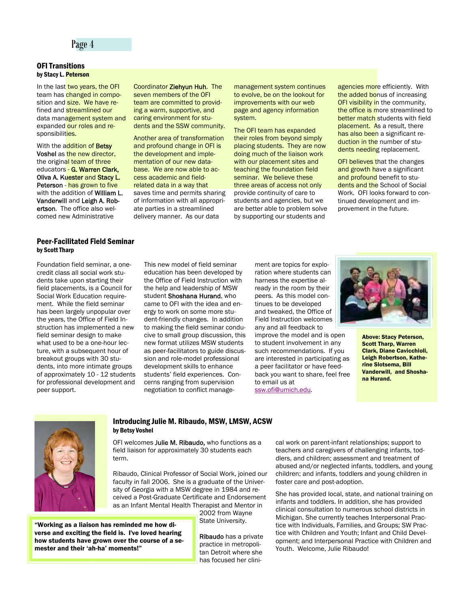#### Page 4

#### OFI Transitions by Stacy L. Peterson

In the last two years, the OFI team has changed in composition and size. We have refined and **streamlined our** data management system and expanded our roles and responsibilities.

With the addition of Betsy Voshel as the new director, the original team of three educators - G. Warren Clark, Oliva A. Kuester and Stacy L. Peterson - has grown to five with the addition of **William L.** Vanderwill and Leigh A. Robertson. The office also welcomed new Administrative

#### Peer-Facilitated Field Seminar by Scott Tharp

Foundation field seminar, a onecredit class all social work students take upon starting their field placements, is a Council for Social Work Education requirement. While the field seminar has been largely unpopular over the years, the Office of Field Instruction has implemented a new field seminar design to make what used to be a one-hour lecture, with a subsequent hour of breakout groups with 30 students, into more intimate groups of approximately 10 - 12 students for professional development and peer support.

Coordinator Ziehyun Huh. The seven members of the OFI team are committed to providing a warm, supportive, and caring environment for students and the SSW community.

Another area of transformation and profound change in OFI is the development and implementation of our new database. We are now able to access academic and fieldrelated data in a way that saves time and permits sharing of information with all appropriate parties in a streamlined delivery manner. As our data

management system continues to evolve, be on the lookout for improvements with our web page and agency information system.

The OFI team has expanded their roles from beyond simply placing students. They are now doing much of the liaison work with our placement sites and teaching the foundation field seminar. We believe these three areas of access not only provide continuity of care to students and agencies, but we are better able to problem solve by supporting our students and

agencies more efficiently. With the added bonus of increasing OFI visibility in the community, the office is more streamlined to better match students with field placement. As a result, there has also been a significant reduction in the number of students needing replacement.

**OFI believes that the changes** and growth have a significant and profound benefit to students and the School of Social Work. OFI looks forward to continued development and improvement in the future.

This new model of field seminar education has been developed by the Office of Field Instruction with the help and leadership of MSW student Shoshana Hurand, who came to OFI with the idea and energy to work on some more student-friendly changes. In addition to making the field seminar conducive to small group discussion, this new format utilizes MSW students as peer-facilitators to guide discussion and role-model professional development skills to enhance students' field experiences. Concerns ranging from supervision negotiation to conflict management are topics for exploration where students can harness the expertise already in the room by their peers. As this model continues to be developed and tweaked, the Office of Field Instruction welcomes any and all feedback to improve the model and is open to student involvement in any such recommendations. If you are interested in participating as a peer facilitator or have feedback you want to share, feel free to email us at [ssw.ofi@umich.edu](mailto:ssw.ofi@umich.edu).



Above: Stacy Peterson, Scott Tharp, Warren Clark, Diane Cavicchioli, Leigh Robertson, Katherine Slotsema, Bill Vanderwill, and Shoshana Hurand.



#### Introducing Julie M. Ribaudo, MSW, LMSW, ACSW by Betsy Voshel

OFI welcomes Julie M. Ribaudo, who functions as a field liaison for approximately 30 students each term.

Ribaudo, Clinical Professor of Social Work, joined our faculty in fall 2006. She is a graduate of the University of Georgia with a MSW degree in 1984 and received a Post-Graduate Certificate and Endorsement as an Infant Mental Health Therapist and Mentor in

2002 from Wayne State University.

"Working as a liaison has reminded me how diverse and exciting the field is. I've loved hearing how students have grown over the course of a semester and their 'ah-ha' moments!"

Ribaudo has a private practice in metropolitan Detroit where she has focused her clinical work on parent-infant relationships; support to teachers and caregivers of challenging infants, toddlers, and children; assessment and treatment of abused and/or neglected infants, toddlers, and young children; and infants, toddlers and young children in foster care and post-adoption.

She has provided local, state, and national training on infants and toddlers. In addition, she has provided clinical consultation to numerous school districts in Michigan. She currently teaches Interpersonal Practice with Individuals, Families, and Groups; SW Practice with Children and Youth; Infant and Child Development; and Interpersonal Practice with Children and Youth. Welcome, Julie Ribaudo!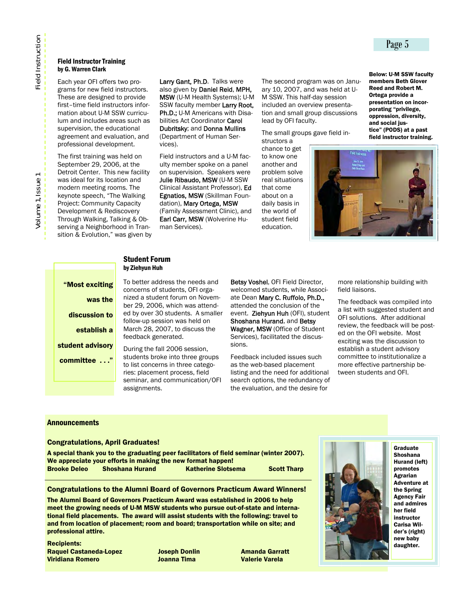#### Field Instructor Training by G. Warren Clark

Each year OFI offers two programs for new field instructors. These are designed to provide first–time field instructors information about U-M SSW curriculum and includes areas such as supervision, the educational agreement and evaluation, and professional development.

The first training was held on September 29, 2006, at the Detroit Center. This new facility was ideal for its location and modern meeting rooms. The keynote speech, "The Walking Project: Community Capacity Development & Rediscovery Through Walking, Talking & Observing a Neighborhood in Transition & Evolution," was given by

Larry Gant, Ph.D. Talks were also given by Daniel Reid, MPH, MSW (U-M Health Systems); U-M SSW faculty member Larry Root, Ph.D.; U-M Americans with Disabilities Act Coordinator Carol Dubritsky; and Donna Mullins (Department of Human Services).

Field instructors and a U-M faculty member spoke on a panel on supervision. Speakers were Julie Ribaudo, MSW (U-M SSW Clinical Assistant Professor), Ed Egnatios, MSW (Skillman Foundation), Mary Ortega, MSW (Family Assessment Clinic), and Earl Carr, MSW (Wolverine Human Services).

The second program was on January 10, 2007, and was held at U-M SSW. This half-day session included an overview presentation and small group discussions lead by OFI faculty.

The small groups gave field in-

structors a chance to get to know one another and problem solve real situations that come about on a daily basis in the world of student field education.

members Beth Glover Reed and Robert M. Ortega provide a presentation on incorporating "privilege, oppression, diversity, and social justice" (PODS) at a past field instructor training.

Below: U-M SSW faculty



#### Student Forum by Ziehyun Huh

"Most exciting was the discussion to establish a student advisory committee . . ."

To better address the needs and concerns of students, OFI organized a student forum on November 29, 2006, which was attended by over 30 students. A smaller follow-up session was held on March 28, 2007, to discuss the feedback generated.

During the fall 2006 session, students broke into three groups to list concerns in three categories: placement process, field seminar, and communication/OFI assignments.

Betsy Voshel, OFI Field Director, welcomed students, while Associate Dean Mary C. Ruffolo, Ph.D., attended the conclusion of the event. Ziehyun Huh (OFI), student Shoshana Hurand, and Betsy Wagner, MSW (Office of Student Services), facilitated the discussions.

Feedback included issues such as the web-based placement listing and the need for additional search options, the redundancy of the evaluation, and the desire for

more relationship building with field liaisons.

The feedback was compiled into a list with suggested student and OFI solutions. After additional review, the feedback will be posted on the OFI website. Most exciting was the discussion to establish a student advisory committee to institutionalize a more effective partnership between students and OFI.

#### **Announcements**

#### Congratulations, April Graduates!

A special thank you to the graduating peer facilitators of field seminar (winter 2007). We appreciate your efforts in making the new format happen! Brooke Deleo Shoshana Hurand Katherine Slotsema Scott Tharp

#### Congratulations to the Alumni Board of Governors Practicum Award Winners!

The Alumni Board of Governors Practicum Award was established in 2006 to help meet the growing needs of U-M MSW students who pursue out-of-state and international field placements. The award will assist students with the following: travel to and from location of placement; room and board; transportation while on site; and professional attire.

Recipients: Raquel Castaneda-Lopez Joseph Donlin Amanda Garratt Viridiana Romero Joanna Tima Valerie Varela



Graduate Shoshana Hurand (left) promotes Agrarian Adventure at the Spring Agency Fair and admires her field instructor Carisa Wilder's (right) new baby daughter.

#### Page 5

**Field Instruction**